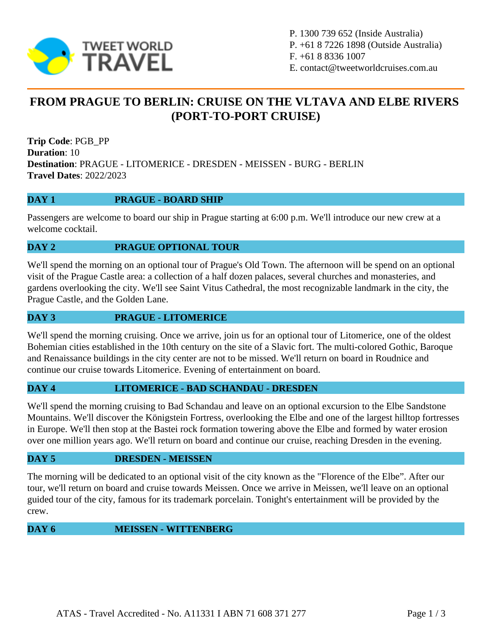

P. 1300 739 652 (Inside Australia) P. +61 8 7226 1898 (Outside Australia) F. +61 8 8336 1007 E. contact@tweetworldcruises.com.au

# **FROM PRAGUE TO BERLIN: CRUISE ON THE VLTAVA AND ELBE RIVERS (PORT-TO-PORT CRUISE)**

**Trip Code**: PGB\_PP **Duration**: 10 **Destination**: PRAGUE - LITOMERICE - DRESDEN - MEISSEN - BURG - BERLIN **Travel Dates**: 2022/2023

# **DAY 1 PRAGUE - BOARD SHIP**

Passengers are welcome to board our ship in Prague starting at 6:00 p.m. We'll introduce our new crew at a welcome cocktail.

## **DAY 2 PRAGUE OPTIONAL TOUR**

We'll spend the morning on an optional tour of Prague's Old Town. The afternoon will be spend on an optional visit of the Prague Castle area: a collection of a half dozen palaces, several churches and monasteries, and gardens overlooking the city. We'll see Saint Vitus Cathedral, the most recognizable landmark in the city, the Prague Castle, and the Golden Lane.

#### **DAY 3 PRAGUE - LITOMERICE**

We'll spend the morning cruising. Once we arrive, join us for an optional tour of Litomerice, one of the oldest Bohemian cities established in the 10th century on the site of a Slavic fort. The multi-colored Gothic, Baroque and Renaissance buildings in the city center are not to be missed. We'll return on board in Roudnice and continue our cruise towards Litomerice. Evening of entertainment on board.

#### **DAY 4 LITOMERICE - BAD SCHANDAU - DRESDEN**

We'll spend the morning cruising to Bad Schandau and leave on an optional excursion to the Elbe Sandstone Mountains. We'll discover the Königstein Fortress, overlooking the Elbe and one of the largest hilltop fortresses in Europe. We'll then stop at the Bastei rock formation towering above the Elbe and formed by water erosion over one million years ago. We'll return on board and continue our cruise, reaching Dresden in the evening.

#### **DAY 5 DRESDEN - MEISSEN**

The morning will be dedicated to an optional visit of the city known as the "Florence of the Elbe". After our tour, we'll return on board and cruise towards Meissen. Once we arrive in Meissen, we'll leave on an optional guided tour of the city, famous for its trademark porcelain. Tonight's entertainment will be provided by the crew.

#### **DAY 6 MEISSEN - WITTENBERG**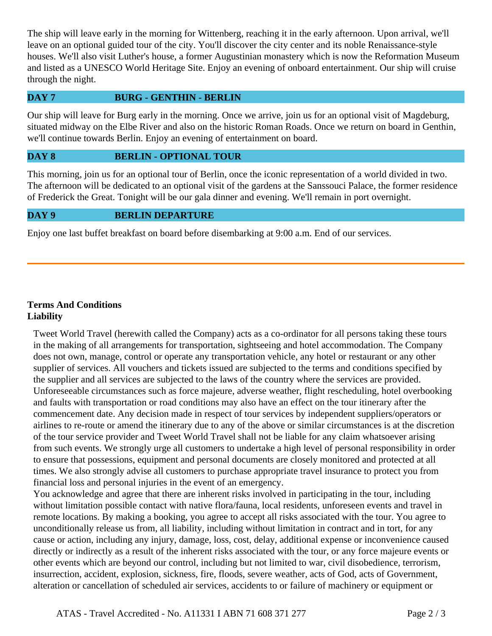The ship will leave early in the morning for Wittenberg, reaching it in the early afternoon. Upon arrival, we'll leave on an optional guided tour of the city. You'll discover the city center and its noble Renaissance-style houses. We'll also visit Luther's house, a former Augustinian monastery which is now the Reformation Museum and listed as a UNESCO World Heritage Site. Enjoy an evening of onboard entertainment. Our ship will cruise through the night.

## **DAY 7 BURG - GENTHIN - BERLIN**

Our ship will leave for Burg early in the morning. Once we arrive, join us for an optional visit of Magdeburg, situated midway on the Elbe River and also on the historic Roman Roads. Once we return on board in Genthin, we'll continue towards Berlin. Enjoy an evening of entertainment on board.

#### **DAY 8 BERLIN - OPTIONAL TOUR**

This morning, join us for an optional tour of Berlin, once the iconic representation of a world divided in two. The afternoon will be dedicated to an optional visit of the gardens at the Sanssouci Palace, the former residence of Frederick the Great. Tonight will be our gala dinner and evening. We'll remain in port overnight.

## **DAY 9 BERLIN DEPARTURE**

Enjoy one last buffet breakfast on board before disembarking at 9:00 a.m. End of our services.

# **Terms And Conditions Liability**

Tweet World Travel (herewith called the Company) acts as a co-ordinator for all persons taking these tours in the making of all arrangements for transportation, sightseeing and hotel accommodation. The Company does not own, manage, control or operate any transportation vehicle, any hotel or restaurant or any other supplier of services. All vouchers and tickets issued are subjected to the terms and conditions specified by the supplier and all services are subjected to the laws of the country where the services are provided. Unforeseeable circumstances such as force majeure, adverse weather, flight rescheduling, hotel overbooking and faults with transportation or road conditions may also have an effect on the tour itinerary after the commencement date. Any decision made in respect of tour services by independent suppliers/operators or airlines to re-route or amend the itinerary due to any of the above or similar circumstances is at the discretion of the tour service provider and Tweet World Travel shall not be liable for any claim whatsoever arising from such events. We strongly urge all customers to undertake a high level of personal responsibility in order to ensure that possessions, equipment and personal documents are closely monitored and protected at all times. We also strongly advise all customers to purchase appropriate travel insurance to protect you from financial loss and personal injuries in the event of an emergency.

You acknowledge and agree that there are inherent risks involved in participating in the tour, including without limitation possible contact with native flora/fauna, local residents, unforeseen events and travel in remote locations. By making a booking, you agree to accept all risks associated with the tour. You agree to unconditionally release us from, all liability, including without limitation in contract and in tort, for any cause or action, including any injury, damage, loss, cost, delay, additional expense or inconvenience caused directly or indirectly as a result of the inherent risks associated with the tour, or any force majeure events or other events which are beyond our control, including but not limited to war, civil disobedience, terrorism, insurrection, accident, explosion, sickness, fire, floods, severe weather, acts of God, acts of Government, alteration or cancellation of scheduled air services, accidents to or failure of machinery or equipment or